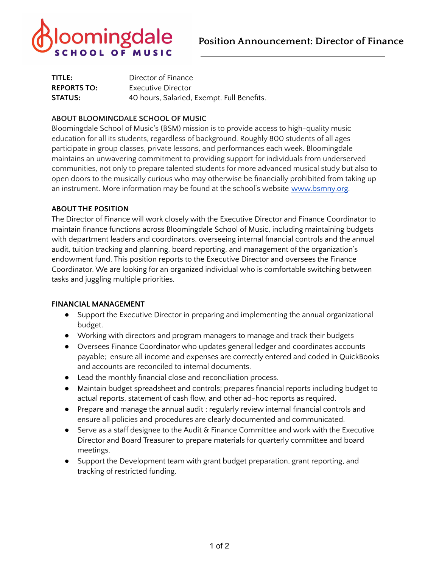

| TITLE:             | Director of Finance                        |
|--------------------|--------------------------------------------|
| <b>REPORTS TO:</b> | Executive Director                         |
| <b>STATUS:</b>     | 40 hours, Salaried, Exempt. Full Benefits. |

## **ABOUT BLOOMINGDALE SCHOOL OF MUSIC**

Bloomingdale School of Music's (BSM) mission is to provide access to high-quality music education for all its students, regardless of background. Roughly 800 students of all ages participate in group classes, private lessons, and performances each week. Bloomingdale maintains an unwavering commitment to providing support for individuals from underserved communities, not only to prepare talented students for more advanced musical study but also to open doors to the musically curious who may otherwise be financially prohibited from taking up an instrument. More information may be found at the school's website [www.bsmny.org.](http://www.bsmny.org/)

## **ABOUT THE POSITION**

The Director of Finance will work closely with the Executive Director and Finance Coordinator to maintain finance functions across Bloomingdale School of Music, including maintaining budgets with department leaders and coordinators, overseeing internal financial controls and the annual audit, tuition tracking and planning, board reporting, and management of the organization's endowment fund. This position reports to the Executive Director and oversees the Finance Coordinator. We are looking for an organized individual who is comfortable switching between tasks and juggling multiple priorities.

## **FINANCIAL MANAGEMENT**

- Support the Executive Director in preparing and implementing the annual organizational budget.
- Working with directors and program managers to manage and track their budgets
- Oversees Finance Coordinator who updates general ledger and coordinates accounts payable; ensure all income and expenses are correctly entered and coded in QuickBooks and accounts are reconciled to internal documents.
- Lead the monthly financial close and reconciliation process.
- Maintain budget spreadsheet and controls; prepares financial reports including budget to actual reports, statement of cash flow, and other ad-hoc reports as required.
- Prepare and manage the annual audit ; regularly review internal financial controls and ensure all policies and procedures are clearly documented and communicated.
- Serve as a staff designee to the Audit & Finance Committee and work with the Executive Director and Board Treasurer to prepare materials for quarterly committee and board meetings.
- Support the Development team with grant budget preparation, grant reporting, and tracking of restricted funding.